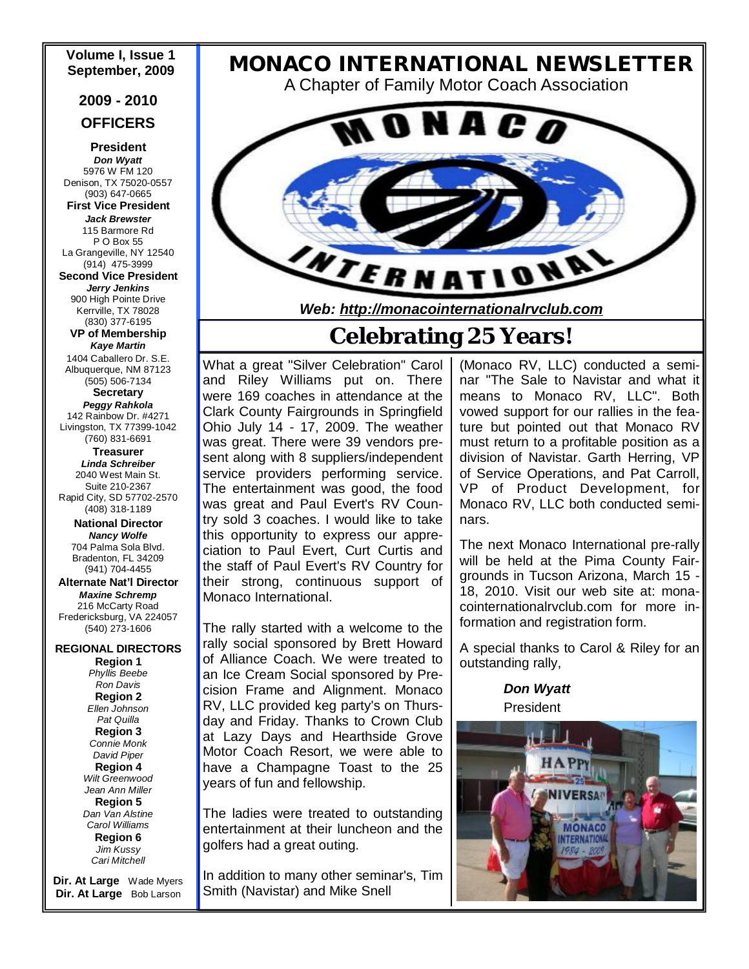# **Volume I, Issue 1**

#### **2009 - 2010**

#### **OFFICERS**

**President**  *Don Wyatt*  5976 W FM 120 Denison, TX 75020-0557 (903) 647-0665 **First Vice President** 

*Jack Brewster*  115 Barmore Rd P O Box 55 La Grangeville, NY 12540 (914) 475-3999 **Second Vice President**  *Jerry Jenkins*  900 High Pointe Drive Kerrville, TX 78028 (830) 377-6195

**VP of Membership** *Kaye Martin* 

1404 Caballero Dr. S.E. Albuquerque, NM 87123 (505) 506-7134 **Secretary** *Peggy Rahkola*  142 Rainbow Dr. #4271 Livingston, TX 77399-1042

(760) 831-6691 **Treasurer**  *Linda Schreiber*  2040 West Main St. Suite 210-2367 Rapid City, SD 57702-2570 (408) 318-1189

> **National Director**  *Nancy Wolfe*  704 Palma Sola Blvd. Bradenton, FL 34209 (941) 704-4455

**Alternate Nat'l Director**  *Maxine Schremp*  216 McCarty Road Fredericksburg, VA 224057 (540) 273-1606

**REGIONAL DIRECTORS Region 1**  *Phyllis Beebe Ron Davis*  **Region 2** *Ellen Johnson Pat Quilla*  **Region 3** *Connie Monk David Piper*  **Region 4**  *Wilt Greenwood Jean Ann Miller*  **Region 5**  *Dan Van Alstine Carol Williams* **Region 6**  *Jim Kussy* 

*Cari Mitchell*  **Dir. At Large** Wade Myers **Dir. At Large** Bob Larson

# **September, <sup>2009</sup>***MONACO INTERNATIONAL NEWSLETTER*

A Chapter of Family Motor Coach Association



*Web: <http://monacointernationalrvclub.com>*

# **Celebrating 25 Years!**

What a great "Silver Celebration" Carol and Riley Williams put on. There were 169 coaches in attendance at the Clark County Fairgrounds in Springfield Ohio July 14 - 17, 2009. The weather was great. There were 39 vendors present along with 8 suppliers/independent service providers performing service. The entertainment was good, the food was great and Paul Evert's RV Country sold 3 coaches. I would like to take this opportunity to express our appreciation to Paul Evert, Curt Curtis and the staff of Paul Evert's RV Country for their strong, continuous support of Monaco International.

The rally started with a welcome to the rally social sponsored by Brett Howard of Alliance Coach. We were treated to an Ice Cream Social sponsored by Precision Frame and Alignment. Monaco RV, LLC provided keg party's on Thursday and Friday. Thanks to Crown Club at Lazy Days and Hearthside Grove Motor Coach Resort, we were able to have a Champagne Toast to the 25 years of fun and fellowship.

The ladies were treated to outstanding entertainment at their luncheon and the golfers had a great outing.

In addition to many other seminar's, Tim Smith (Navistar) and Mike Snell

(Monaco RV, LLC) conducted a seminar "The Sale to Navistar and what it means to Monaco RV, LLC". Both vowed support for our rallies in the feature but pointed out that Monaco RV must return to a profitable position as a division of Navistar. Garth Herring, VP of Service Operations, and Pat Carroll, VP of Product Development, for Monaco RV, LLC both conducted seminars.

The next Monaco International pre-rally will be held at the Pima County Fairgrounds in Tucson Arizona, March 15 - 18, 2010. Visit our web site at: monacointernationalrvclub.com for more information and registration form.

A special thanks to Carol & Riley for an outstanding rally,

> *Don Wyatt* President

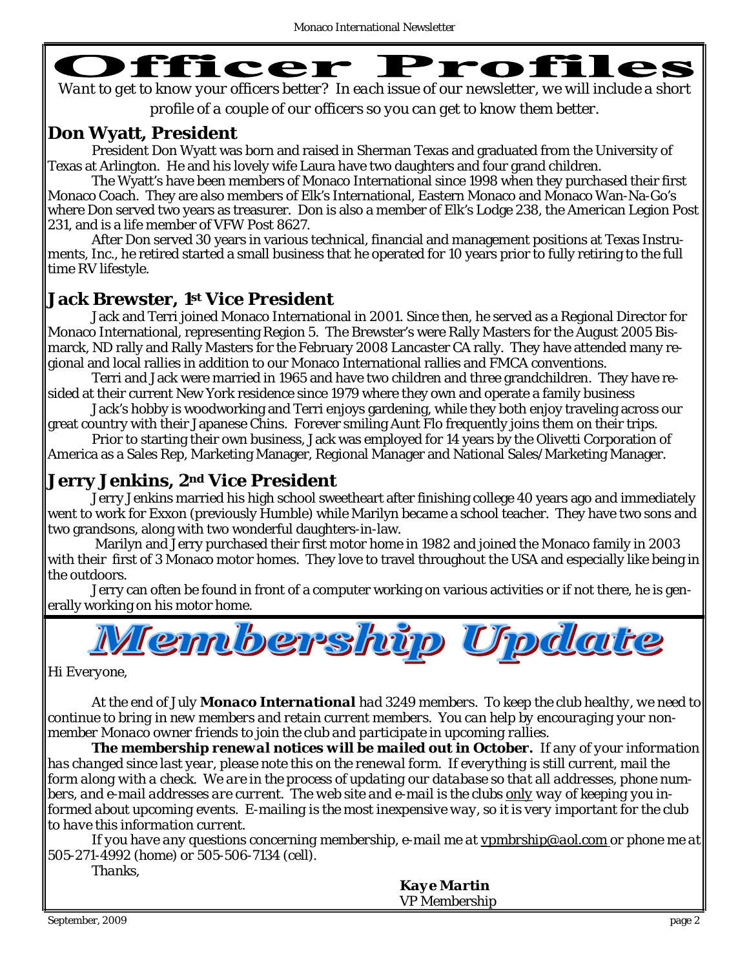

*Want to get to know your officers better? In each issue of our newsletter, we will include a short profile of a couple of our officers so you can get to know them better.* 

## **Don Wyatt, President**

President Don Wyatt was born and raised in Sherman Texas and graduated from the University of Texas at Arlington. He and his lovely wife Laura have two daughters and four grand children.

The Wyatt's have been members of Monaco International since 1998 when they purchased their first Monaco Coach. They are also members of Elk's International, Eastern Monaco and Monaco Wan-Na-Go's where Don served two years as treasurer. Don is also a member of Elk's Lodge 238, the American Legion Post 231, and is a life member of VFW Post 8627.

After Don served 30 years in various technical, financial and management positions at Texas Instruments, Inc., he retired started a small business that he operated for 10 years prior to fully retiring to the full time RV lifestyle.

### **Jack Brewster, 1st Vice President**

Jack and Terri joined Monaco International in 2001. Since then, he served as a Regional Director for Monaco International, representing Region 5. The Brewster's were Rally Masters for the August 2005 Bismarck, ND rally and Rally Masters for the February 2008 Lancaster CA rally. They have attended many regional and local rallies in addition to our Monaco International rallies and FMCA conventions.

Terri and Jack were married in 1965 and have two children and three grandchildren. They have resided at their current New York residence since 1979 where they own and operate a family business

Jack's hobby is woodworking and Terri enjoys gardening, while they both enjoy traveling across our great country with their Japanese Chins. Forever smiling Aunt Flo frequently joins them on their trips.

Prior to starting their own business, Jack was employed for 14 years by the Olivetti Corporation of America as a Sales Rep, Marketing Manager, Regional Manager and National Sales/Marketing Manager.

### **Jerry Jenkins, 2nd Vice President**

Jerry Jenkins married his high school sweetheart after finishing college 40 years ago and immediately went to work for Exxon (previously Humble) while Marilyn became a school teacher. They have two sons and two grandsons, along with two wonderful daughters-in-law.

Marilyn and Jerry purchased their first motor home in 1982 and joined the Monaco family in 2003 with their first of 3 Monaco motor homes. They love to travel throughout the USA and especially like being in the outdoors.

 Jerry can often be found in front of a computer working on various activities or if not there, he is generally working on his motor home.



*Hi Everyone,* 

*At the end of July Monaco International had 3249 members. To keep the club healthy, we need to continue to bring in new members and retain current members. You can help by encouraging your nonmember Monaco owner friends to join the club and participate in upcoming rallies.* 

*The membership renewal notices will be mailed out in October. If any of your information has changed since last year, please note this on the renewal form. If everything is still current, mail the form along with a check. We are in the process of updating our database so that all addresses, phone numbers, and e-mail addresses are current. The web site and e-mail is the clubs only way of keeping you informed about upcoming events. E-mailing is the most inexpensive way, so it is very important for the club to have this information current.* 

*If you have any questions concerning membership, e-mail me at [vpmbrship@aol.com](mailto:vpmbrship@aol.com) or phone me at 505-271-4992 (home) or 505-506-7134 (cell).* 

*Thanks,* 

*Kaye Martin*  VP Membership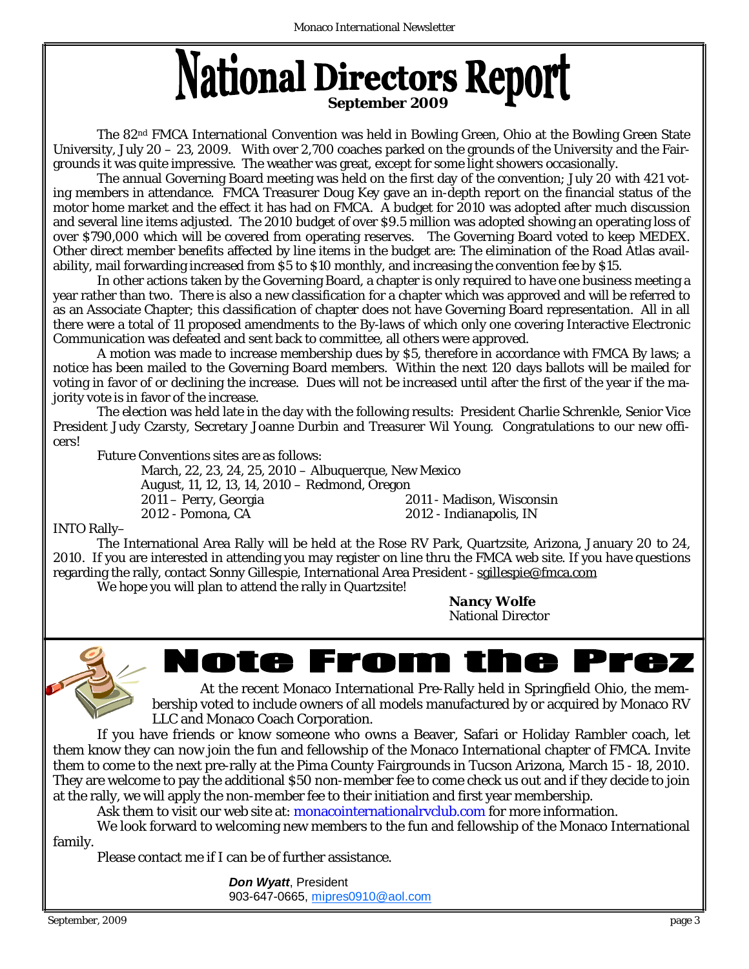# National Directors Report

The 82nd FMCA International Convention was held in Bowling Green, Ohio at the Bowling Green State University, July 20 – 23, 2009. With over 2,700 coaches parked on the grounds of the University and the Fairgrounds it was quite impressive. The weather was great, except for some light showers occasionally.

The annual Governing Board meeting was held on the first day of the convention; July 20 with 421 voting members in attendance. FMCA Treasurer Doug Key gave an in-depth report on the financial status of the motor home market and the effect it has had on FMCA. A budget for 2010 was adopted after much discussion and several line items adjusted. The 2010 budget of over \$9.5 million was adopted showing an operating loss of over \$790,000 which will be covered from operating reserves. The Governing Board voted to keep MEDEX. Other direct member benefits affected by line items in the budget are: The elimination of the Road Atlas availability, mail forwarding increased from \$5 to \$10 monthly, and increasing the convention fee by \$15.

In other actions taken by the Governing Board, a chapter is only required to have one business meeting a year rather than two. There is also a new classification for a chapter which was approved and will be referred to as an Associate Chapter; this classification of chapter does not have Governing Board representation. All in all there were a total of 11 proposed amendments to the By-laws of which only one covering Interactive Electronic Communication was defeated and sent back to committee, all others were approved.

A motion was made to increase membership dues by \$5, therefore in accordance with FMCA By laws; a notice has been mailed to the Governing Board members. Within the next 120 days ballots will be mailed for voting in favor of or declining the increase. Dues will not be increased until after the first of the year if the majority vote is in favor of the increase.

The election was held late in the day with the following results: President Charlie Schrenkle, Senior Vice President Judy Czarsty, Secretary Joanne Durbin and Treasurer Wil Young. Congratulations to our new officers!

Future Conventions sites are as follows:

March, 22, 23, 24, 25, 2010 – Albuquerque, New Mexico August, 11, 12, 13, 14, 2010 – Redmond, Oregon 2011 – Perry, Georgia 2011 - Madison, Wisconsin 2012 - Pomona, CA 2012 - Indianapolis, IN

#### INTO Rally–

The International Area Rally will be held at the Rose RV Park, Quartzsite, Arizona, January 20 to 24, 2010. If you are interested in attending you may register on line thru the FMCA web site. If you have questions regarding the rally, contact Sonny Gillespie, International Area President - [sgillespie@fmca.com](mailto:sgillespie@fmca.com)

We hope you will plan to attend the rally in Quartzsite!

*Nancy Wolfe* National Director



lote From t rez Æ

At the recent Monaco International Pre-Rally held in Springfield Ohio, the membership voted to include owners of all models manufactured by or acquired by Monaco RV LLC and Monaco Coach Corporation.

 If you have friends or know someone who owns a Beaver, Safari or Holiday Rambler coach, let them know they can now join the fun and fellowship of the Monaco International chapter of FMCA. Invite them to come to the next pre-rally at the Pima County Fairgrounds in Tucson Arizona, March 15 - 18, 2010. They are welcome to pay the additional \$50 non-member fee to come check us out and if they decide to join at the rally, we will apply the non-member fee to their initiation and first year membership.

Ask them to visit our web site at: monacointernationalryclub.com for more information.

 We look forward to welcoming new members to the fun and fellowship of the Monaco International family.

Please contact me if I can be of further assistance.

*Don Wyatt*, President 903-647-0665, [mipres0910@aol.com](mailto:mipres0910@aol.com)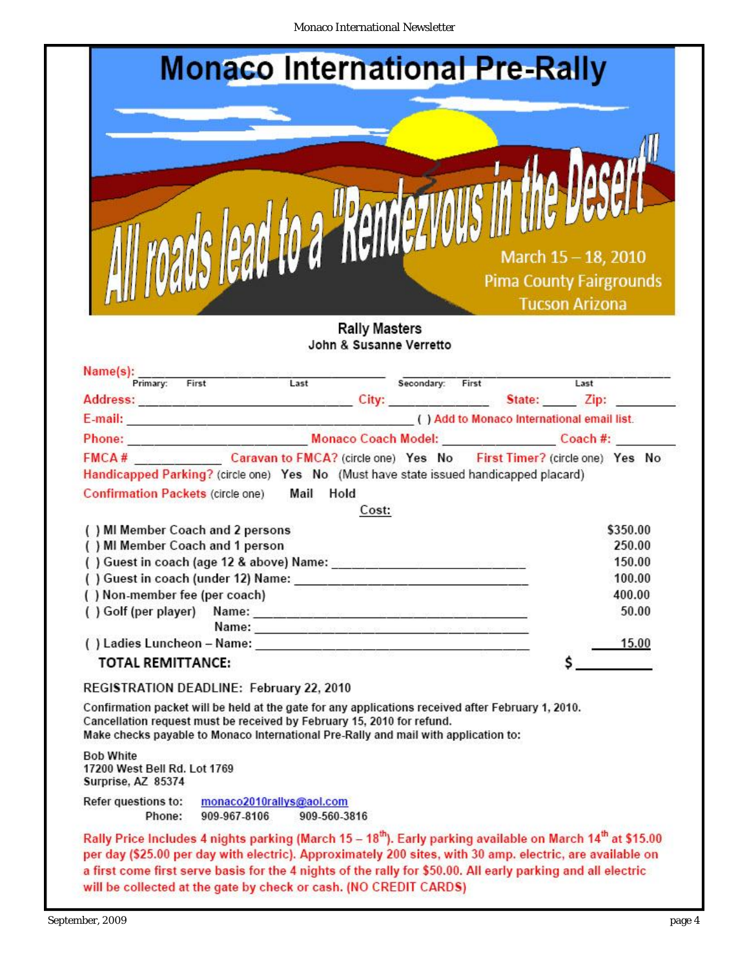Monaco International Newsletter

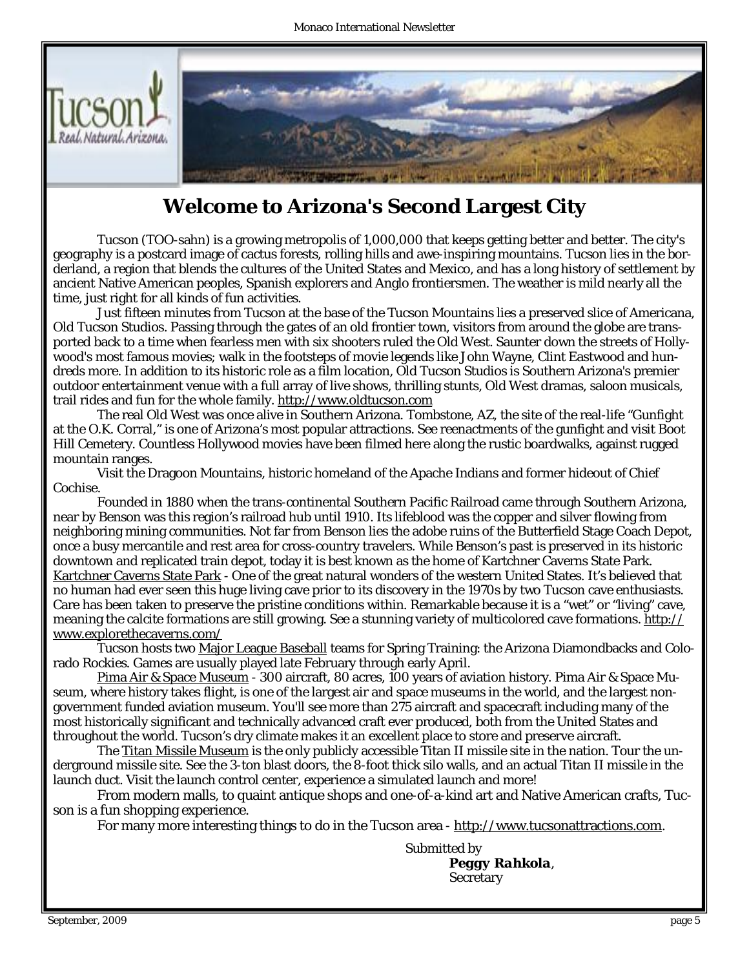

# **Welcome to Arizona's Second Largest City**

Tucson (TOO-sahn) is a growing metropolis of 1,000,000 that keeps getting better and better. The city's geography is a postcard image of cactus forests, rolling hills and awe-inspiring mountains. Tucson lies in the borderland, a region that blends the cultures of the United States and Mexico, and has a long history of settlement by ancient Native American peoples, Spanish explorers and Anglo frontiersmen. The weather is mild nearly all the time, just right for all kinds of fun activities.

Just fifteen minutes from Tucson at the base of the Tucson Mountains lies a preserved slice of Americana, Old Tucson Studios. Passing through the gates of an old frontier town, visitors from around the globe are transported back to a time when fearless men with six shooters ruled the Old West. Saunter down the streets of Hollywood's most famous movies; walk in the footsteps of movie legends like John Wayne, Clint Eastwood and hundreds more. In addition to its historic role as a film location, Old Tucson Studios is Southern Arizona's premier outdoor entertainment venue with a full array of live shows, thrilling stunts, Old West dramas, saloon musicals, trail rides and fun for the whole family. <http://www.oldtucson.com>

The real Old West was once alive in Southern Arizona. Tombstone, AZ, the site of the real-life "Gunfight at the O.K. Corral," is one of Arizona's most popular attractions. See reenactments of the gunfight and visit Boot Hill Cemetery. Countless Hollywood movies have been filmed here along the rustic boardwalks, against rugged mountain ranges.

Visit the Dragoon Mountains, historic homeland of the Apache Indians and former hideout of Chief Cochise.

Founded in 1880 when the trans-continental Southern Pacific Railroad came through Southern Arizona, near by Benson was this region's railroad hub until 1910. Its lifeblood was the copper and silver flowing from neighboring mining communities. Not far from Benson lies the adobe ruins of the Butterfield Stage Coach Depot, once a busy mercantile and rest area for cross-country travelers. While Benson's past is preserved in its historic downtown and replicated train depot, today it is best known as the home of Kartchner Caverns State Park. Kartchner Caverns State Park - One of the great natural wonders of the western United States. It's believed that no human had ever seen this huge living cave prior to its discovery in the 1970s by two Tucson cave enthusiasts. Care has been taken to preserve the pristine conditions within. Remarkable because it is a "wet" or "living" cave, meaning the calcite formations are still growing. See a stunning variety of multicolored cave formations. http:// [www.explorethecaverns.com/](http://www.explorethecaverns.com/)

Tucson hosts two Major League Baseball teams for Spring Training: the Arizona Diamondbacks and Colorado Rockies. Games are usually played late February through early April.

Pima Air & Space Museum - 300 aircraft, 80 acres, 100 years of aviation history. Pima Air & Space Museum, where history takes flight, is one of the largest air and space museums in the world, and the largest nongovernment funded aviation museum. You'll see more than 275 aircraft and spacecraft including many of the most historically significant and technically advanced craft ever produced, both from the United States and throughout the world. Tucson's dry climate makes it an excellent place to store and preserve aircraft.

The **Titan Missile Museum** is the only publicly accessible Titan II missile site in the nation. Tour the underground missile site. See the 3-ton blast doors, the 8-foot thick silo walls, and an actual Titan II missile in the launch duct. Visit the launch control center, experience a simulated launch and more!

From modern malls, to quaint antique shops and one-of-a-kind art and Native American crafts, Tucson is a fun shopping experience.

For many more interesting things to do in the Tucson area - [http://www.tucsonattractions.com.](http://www.tucsonattractions.com)

Submitted by *Peggy Rahkola*, **Secretary**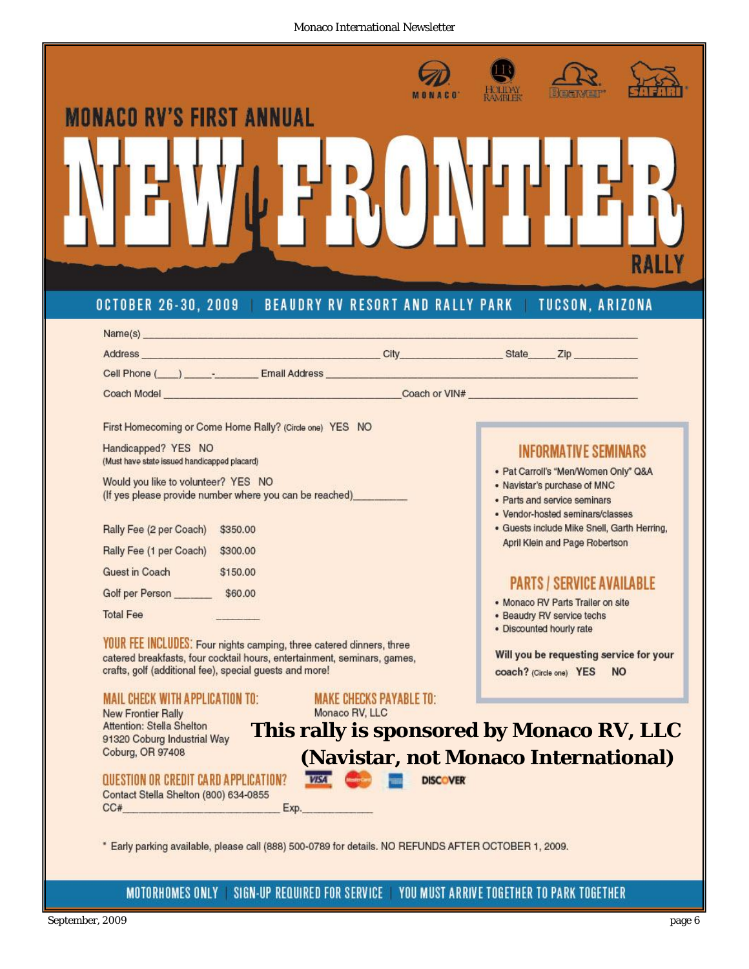Monaco International Newsletter



MOTORHOMES ONLY SIGN-UP REQUIRED FOR SERVICE YOU MUST ARRIVE TOGETHER TO PARK TOGETHER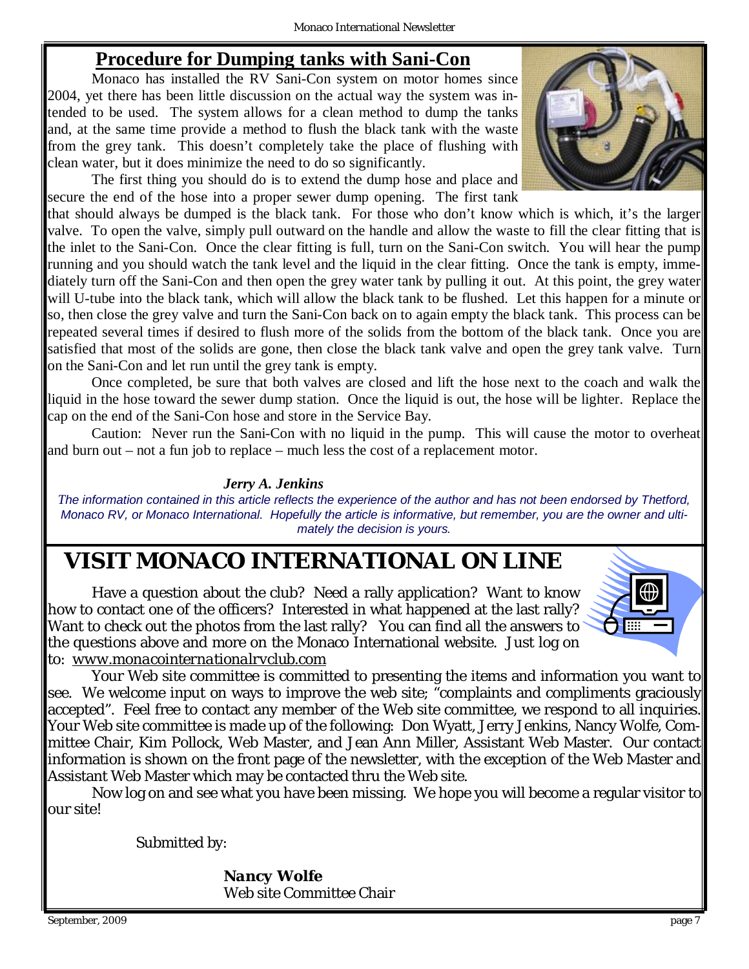## **Procedure for Dumping tanks with Sani-Con**

 Monaco has installed the RV Sani-Con system on motor homes since 2004, yet there has been little discussion on the actual way the system was intended to be used. The system allows for a clean method to dump the tanks and, at the same time provide a method to flush the black tank with the waste from the grey tank. This doesn't completely take the place of flushing with clean water, but it does minimize the need to do so significantly.

 The first thing you should do is to extend the dump hose and place and secure the end of the hose into a proper sewer dump opening. The first tank

that should always be dumped is the black tank. For those who don't know which is which, it's the larger valve. To open the valve, simply pull outward on the handle and allow the waste to fill the clear fitting that is the inlet to the Sani-Con. Once the clear fitting is full, turn on the Sani-Con switch. You will hear the pump running and you should watch the tank level and the liquid in the clear fitting. Once the tank is empty, immediately turn off the Sani-Con and then open the grey water tank by pulling it out. At this point, the grey water will U-tube into the black tank, which will allow the black tank to be flushed. Let this happen for a minute or so, then close the grey valve and turn the Sani-Con back on to again empty the black tank. This process can be repeated several times if desired to flush more of the solids from the bottom of the black tank. Once you are satisfied that most of the solids are gone, then close the black tank valve and open the grey tank valve. Turn on the Sani-Con and let run until the grey tank is empty.

 Once completed, be sure that both valves are closed and lift the hose next to the coach and walk the liquid in the hose toward the sewer dump station. Once the liquid is out, the hose will be lighter. Replace the cap on the end of the Sani-Con hose and store in the Service Bay.

 Caution: Never run the Sani-Con with no liquid in the pump. This will cause the motor to overheat and burn out – not a fun job to replace – much less the cost of a replacement motor.

#### *Jerry A. Jenkins*

*The information contained in this article reflects the experience of the author and has not been endorsed by Thetford, Monaco RV, or Monaco International. Hopefully the article is informative, but remember, you are the owner and ultimately the decision is yours.*

# *VISIT MONACO INTERNATIONAL ON LINE*

Have a question about the club? Need a rally application? Want to know how to contact one of the officers? Interested in what happened at the last rally? Want to check out the photos from the last rally? You can find all the answers to the questions above and more on the Monaco International website. Just log on to: *[www.monacointernationalrvclub.com](http://www.monacointernationalrvclub.com)*

Your Web site committee is committed to presenting the items and information you want to see. We welcome input on ways to improve the web site; "complaints and compliments graciously accepted". Feel free to contact any member of the Web site committee, we respond to all inquiries. Your Web site committee is made up of the following: Don Wyatt, Jerry Jenkins, Nancy Wolfe, Committee Chair, Kim Pollock, Web Master, and Jean Ann Miller, Assistant Web Master. Our contact information is shown on the front page of the newsletter, with the exception of the Web Master and Assistant Web Master which may be contacted thru the Web site.

Now log on and see what you have been missing. We hope you will become a regular visitor to our site!

Submitted by:

*Nancy Wolfe* Web site Committee Chair



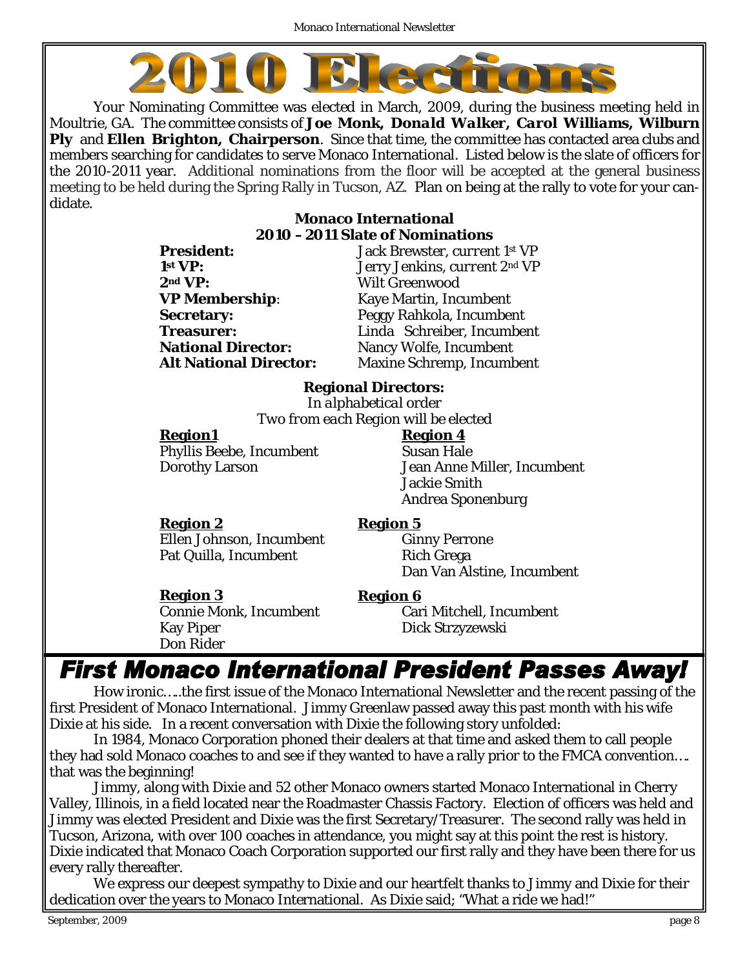

Your Nominating Committee was elected in March, 2009, during the business meeting held in Moultrie, GA. The committee consists of *Joe Monk, Donald Walker, Carol Williams, Wilburn Ply* and *Ellen Brighton***, Chairperson**. Since that time, the committee has contacted area clubs and members searching for candidates to serve Monaco International. Listed below is the slate of officers for the 2010-2011 year. Additional nominations from the floor will be accepted at the general business meeting to be held during the Spring Rally in Tucson, AZ. Plan on being at the rally to vote for your candidate.

#### **Monaco International 2010 –2011 Slate of Nominations**

| <b>President:</b>             | Jack Brewster, current 1st VP    |
|-------------------------------|----------------------------------|
| 1 <sup>st</sup> VP:           | Jerry Jenkins, current 2nd VP    |
| 2 <sup>nd</sup> VP:           | <b>Wilt Greenwood</b>            |
| <b>VP Membership:</b>         | <b>Kaye Martin, Incumbent</b>    |
| <b>Secretary:</b>             | Peggy Rahkola, Incumbent         |
| <b>Treasurer:</b>             | Linda Schreiber, Incumbent       |
| <b>National Director:</b>     | Nancy Wolfe, <i>Incumbent</i>    |
| <b>Alt National Director:</b> | <b>Maxine Schremp, Incumbent</b> |
|                               |                                  |

# **Regional Directors:**

*In alphabetical order Two from each Region will be elected* 

Region1 Region 4 Phyllis Beebe, Incumbent Susan Hale

**Region 2 Region 5** Ellen Johnson, Incumbent Ginny Perrone Pat Quilla, Incumbent Rich Grega

Dorothy Larson Jean Anne Miller, *Incumbent* Jackie Smith Andrea Sponenburg

Dan Van Alstine, *Incumbent*

**Region 3 Region 6** Kay Piper Dick Strzyzewski Don Rider

Connie Monk, Incumbent Cari Mitchell, *Incumbent*

# **First Monaco International President Passes Away!**

How ironic…..the first issue of the Monaco International Newsletter and the recent passing of the first President of Monaco International. Jimmy Greenlaw passed away this past month with his wife Dixie at his side. In a recent conversation with Dixie the following story unfolded:

In 1984, Monaco Corporation phoned their dealers at that time and asked them to call people they had sold Monaco coaches to and see if they wanted to have a rally prior to the FMCA convention…. that was the beginning!

Jimmy, along with Dixie and 52 other Monaco owners started Monaco International in Cherry Valley, Illinois, in a field located near the Roadmaster Chassis Factory. Election of officers was held and Jimmy was elected President and Dixie was the first Secretary/Treasurer. The second rally was held in Tucson, Arizona, with over 100 coaches in attendance, you might say at this point the rest is history. Dixie indicated that Monaco Coach Corporation supported our first rally and they have been there for us every rally thereafter.

We express our deepest sympathy to Dixie and our heartfelt thanks to Jimmy and Dixie for their dedication over the years to Monaco International. As Dixie said; "What a ride we had!"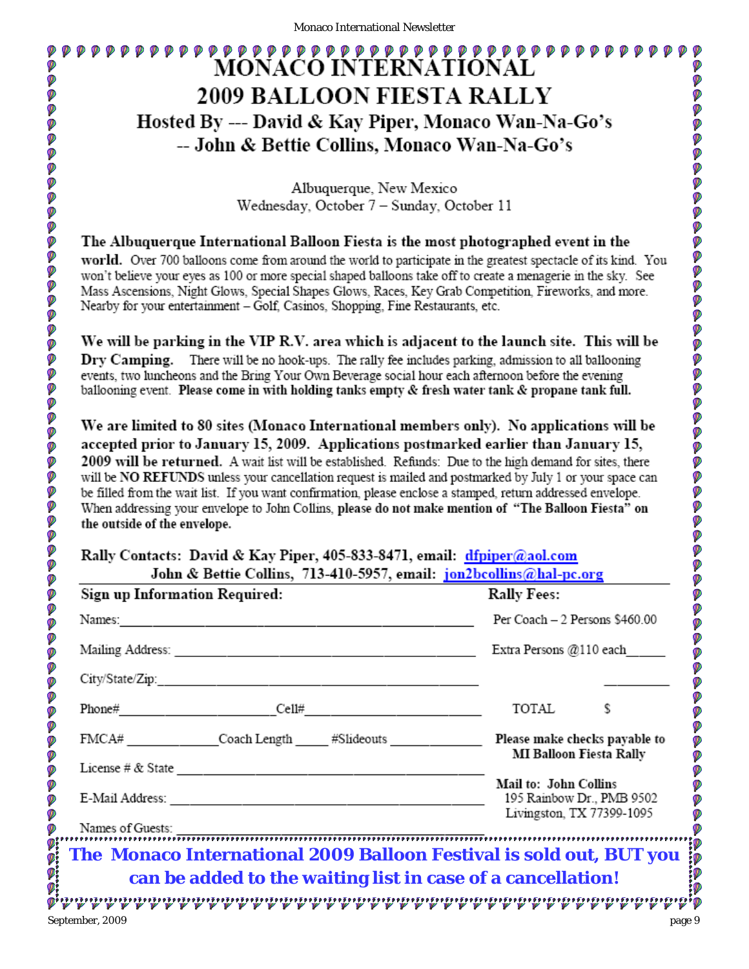# **MONACO INTERNATIONAL 2009 BALLOON FIESTA RALLY** Hosted By --- David & Kay Piper, Monaco Wan-Na-Go's -- John & Bettie Collins, Monaco Wan-Na-Go's

Albuquerque, New Mexico Wednesday, October 7 - Sunday, October 11

The Albuquerque International Balloon Fiesta is the most photographed event in the world. Over 700 balloons come from around the world to participate in the greatest spectacle of its kind. You won't believe your eyes as 100 or more special shaped balloons take off to create a menagerie in the sky. See Mass Ascensions, Night Glows, Special Shapes Glows, Races, Key Grab Competition, Fireworks, and more. Nearby for your entertainment - Golf, Casinos, Shopping, Fine Restaurants, etc.

We will be parking in the VIP R.V. area which is adjacent to the launch site. This will be Dry Camping. There will be no hook-ups. The rally fee includes parking, admission to all ballooning events, two luncheons and the Bring Your Own Beverage social hour each afternoon before the evening ballooning event. Please come in with holding tanks empty & fresh water tank & propane tank full.

We are limited to 80 sites (Monaco International members only). No applications will be accepted prior to January 15, 2009. Applications postmarked earlier than January 15, 2009 will be returned. A wait list will be established. Refunds: Due to the high demand for sites, there will be NO REFUNDS unless your cancellation request is mailed and postmarked by July 1 or your space can be filled from the wait list. If you want confirmation, please enclose a stamped, return addressed envelope. When addressing your envelope to John Collins, please do not make mention of "The Balloon Fiesta" on the outside of the envelope.

#### Rally Contacts: David & Kay Piper, 405-833-8471, email: dfpiper@aol.com John & Bettie Collins, 713-410-5957, email: jon2bcollins@hal-pc.org

|                     | Sign up Information Required:                                                                        | <b>Rally Fees:</b>                                                              |
|---------------------|------------------------------------------------------------------------------------------------------|---------------------------------------------------------------------------------|
| Names:              |                                                                                                      | Per Coach - 2 Persons \$460.00                                                  |
| Mailing Address:    |                                                                                                      | Extra Persons @110 each                                                         |
| City/State/Zip:     |                                                                                                      |                                                                                 |
| Phone#              | Cell#                                                                                                | TOTAL                                                                           |
|                     | FMCA# Coach Length #Slideouts Please make checks payable to                                          | <b>MI Balloon Fiesta Rally</b>                                                  |
| License # $&$ State | E-Mail Address: 2008. [2010] [2010] [2010] [2010] [2010] [2010] [2010] [2010] [2010] [2010] [2010] [ | Mail to: John Collins<br>195 Rainbow Dr., PMB 9502<br>Livingston, TX 77399-1095 |
| Names of Guests:    | The Monaco International 2009 Balloon Festival is sold out, BUT you                                  |                                                                                 |
|                     | can be added to the waiting list in case of a cancellation!                                          |                                                                                 |
| September, 2009     |                                                                                                      |                                                                                 |

Ø

Ø